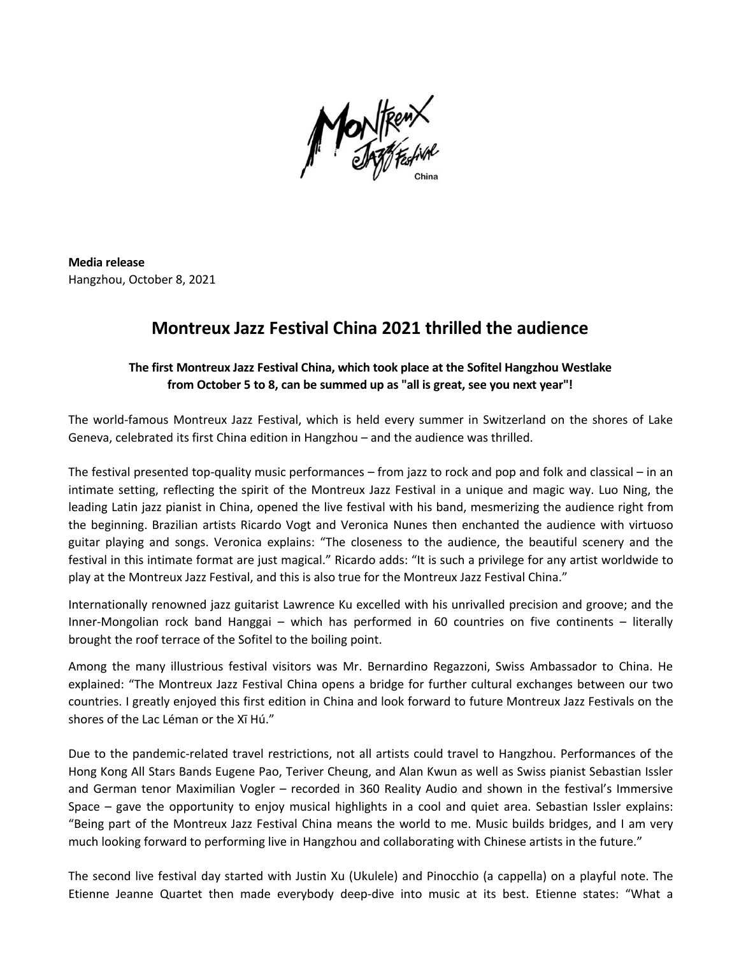

**Media release** Hangzhou, October 8, 2021

## **Montreux Jazz Festival China 2021 thrilled the audience**

## **The first Montreux Jazz Festival China, which took place at the Sofitel Hangzhou Westlake from October 5 to 8, can be summed up as "all is great, see you next year"!**

The world-famous Montreux Jazz Festival, which is held every summer in Switzerland on the shores of Lake Geneva, celebrated its first China edition in Hangzhou – and the audience was thrilled.

The festival presented top-quality music performances – from jazz to rock and pop and folk and classical – in an intimate setting, reflecting the spirit of the Montreux Jazz Festival in a unique and magic way. Luo Ning, the leading Latin jazz pianist in China, opened the live festival with his band, mesmerizing the audience right from the beginning. Brazilian artists Ricardo Vogt and Veronica Nunes then enchanted the audience with virtuoso guitar playing and songs. Veronica explains: "The closeness to the audience, the beautiful scenery and the festival in this intimate format are just magical." Ricardo adds: "Itis such a privilege for any artist worldwide to play at the Montreux Jazz Festival, and this is also true for the Montreux Jazz Festival China."

Internationally renowned jazz guitarist Lawrence Ku excelled with his unrivalled precision and groove; and the Inner-Mongolian rock band Hanggai – which has performed in 60 countries on five continents – literally brought the roof terrace of the Sofitel to the boiling point.

Among the many illustrious festival visitors was Mr. Bernardino Regazzoni, Swiss Ambassador to China. He explained: "The Montreux Jazz Festival China opens a bridge for further cultural exchanges between our two countries. I greatly enjoyed this first edition in China and look forward to future Montreux Jazz Festivals on the shores of the Lac Léman or the Xī Hú."

Due to the pandemic-related travel restrictions, not all artists could travel to Hangzhou. Performances of the Hong Kong All Stars Bands Eugene Pao, Teriver Cheung, and Alan Kwun as wellas Swiss pianist Sebastian Issler and German tenor Maximilian Vogler – recorded in 360 Reality Audio and shown in the festival's Immersive Space – gave the opportunity to enjoy musical highlights in a cool and quiet area. Sebastian Issler explains: "Being part of the Montreux Jazz Festival China means the world to me. Music builds bridges, and I am very much looking forward to performing live in Hangzhou and collaborating with Chinese artists in the future."

The second live festival day started with Justin Xu (Ukulele) and Pinocchio (a cappella) on a playful note. The Etienne Jeanne Quartet then made everybody deep-dive into music at its best. Etienne states: "What a